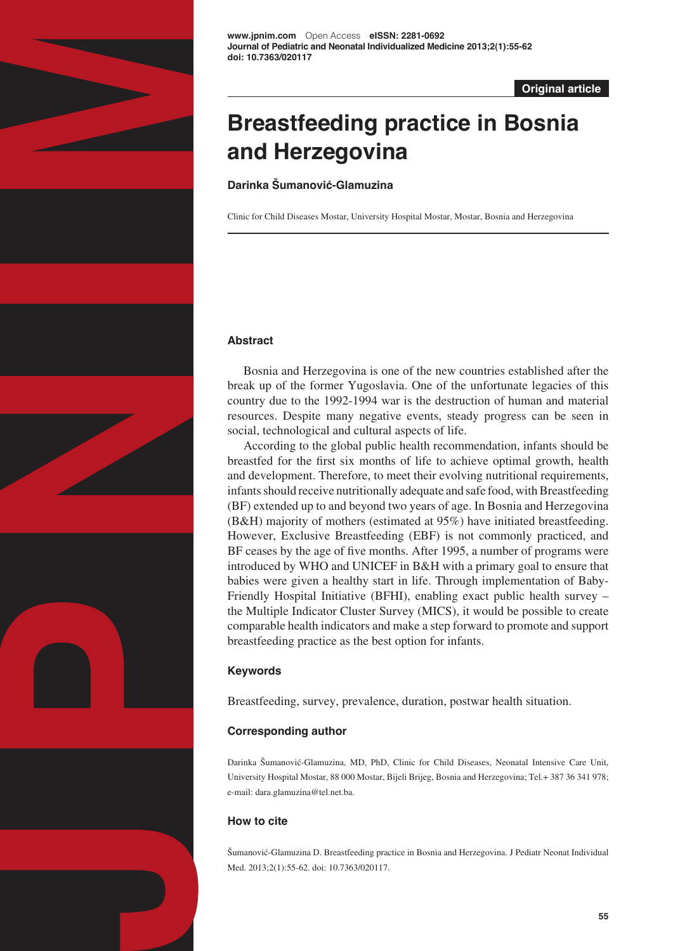

**Original article**

# **Breastfeeding practice in Bosnia and Herzegovina**

**Darinka Šumanović-Glamuzina**

Clinic for Child Diseases Mostar, University Hospital Mostar, Mostar, Bosnia and Herzegovina

## **Abstract**

Bosnia and Herzegovina is one of the new countries established after the break up of the former Yugoslavia. One of the unfortunate legacies of this country due to the 1992-1994 war is the destruction of human and material resources. Despite many negative events, steady progress can be seen in social, technological and cultural aspects of life.

According to the global public health recommendation, infants should be breastfed for the first six months of life to achieve optimal growth, health and development. Therefore, to meet their evolving nutritional requirements, infants should receive nutritionally adequate and safe food, with Breastfeeding (BF) extended up to and beyond two years of age. In Bosnia and Herzegovina (B&H) majority of mothers (estimated at 95%) have initiated breastfeeding. However, Exclusive Breastfeeding (EBF) is not commonly practiced, and BF ceases by the age of five months. After 1995, a number of programs were introduced by WHO and UNICEF in B&H with a primary goal to ensure that babies were given a healthy start in life. Through implementation of Baby-Friendly Hospital Initiative (BFHI), enabling exact public health survey – the Multiple Indicator Cluster Survey (MICS), it would be possible to create comparable health indicators and make a step forward to promote and support breastfeeding practice as the best option for infants.

# **Keywords**

Breastfeeding, survey, prevalence, duration, postwar health situation.

# **Corresponding author**

Darinka Šumanović-Glamuzina, MD, PhD, Clinic for Child Diseases, Neonatal Intensive Care Unit, University Hospital Mostar, 88 000 Mostar, Bijeli Brijeg, Bosnia and Herzegovina; Tel.+ 387 36 341 978; e-mail: dara.glamuzina@tel.net.ba.

# **How to cite**

Šumanović-Glamuzina D. Breastfeeding practice in Bosnia and Herzegovina. J Pediatr Neonat Individual Med. 2013;2(1):55-62. doi: 10.7363/020117.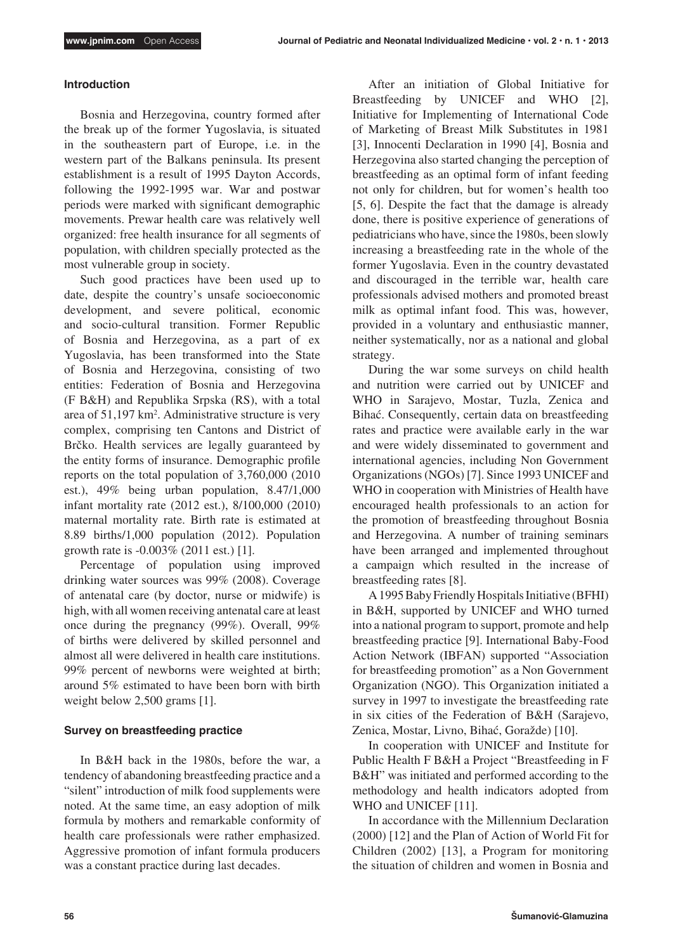## **Introduction**

Bosnia and Herzegovina, country formed after the break up of the former Yugoslavia, is situated in the southeastern part of Europe, i.e. in the western part of the Balkans peninsula. Its present establishment is a result of 1995 Dayton Accords, following the 1992-1995 war. War and postwar periods were marked with significant demographic movements. Prewar health care was relatively well organized: free health insurance for all segments of population, with children specially protected as the most vulnerable group in society.

Such good practices have been used up to date, despite the country's unsafe socioeconomic development, and severe political, economic and socio-cultural transition. Former Republic of Bosnia and Herzegovina, as a part of ex Yugoslavia, has been transformed into the State of Bosnia and Herzegovina, consisting of two entities: Federation of Bosnia and Herzegovina (F B&H) and Republika Srpska (RS), with a total area of 51,197 km<sup>2</sup>. Administrative structure is very complex, comprising ten Cantons and District of Brčko. Health services are legally guaranteed by the entity forms of insurance. Demographic profile reports on the total population of 3,760,000 (2010 est.), 49% being urban population, 8.47/1,000 infant mortality rate (2012 est.), 8/100,000 (2010) maternal mortality rate. Birth rate is estimated at 8.89 births/1,000 population (2012). Population growth rate is -0.003% (2011 est.) [1].

Percentage of population using improved drinking water sources was 99% (2008). Coverage of antenatal care (by doctor, nurse or midwife) is high, with all women receiving antenatal care at least once during the pregnancy (99%). Overall, 99% of births were delivered by skilled personnel and almost all were delivered in health care institutions. 99% percent of newborns were weighted at birth; around 5% estimated to have been born with birth weight below 2,500 grams [1].

## **Survey on breastfeeding practice**

In B&H back in the 1980s, before the war, a tendency of abandoning breastfeeding practice and a "silent" introduction of milk food supplements were noted. At the same time, an easy adoption of milk formula by mothers and remarkable conformity of health care professionals were rather emphasized. Aggressive promotion of infant formula producers was a constant practice during last decades.

After an initiation of Global Initiative for Breastfeeding by UNICEF and WHO [2], Initiative for Implementing of International Code of Marketing of Breast Milk Substitutes in 1981 [3], Innocenti Declaration in 1990 [4], Bosnia and Herzegovina also started changing the perception of breastfeeding as an optimal form of infant feeding not only for children, but for women's health too [5, 6]. Despite the fact that the damage is already done, there is positive experience of generations of pediatricians who have, since the 1980s, been slowly increasing a breastfeeding rate in the whole of the former Yugoslavia. Even in the country devastated and discouraged in the terrible war, health care professionals advised mothers and promoted breast milk as optimal infant food. This was, however, provided in a voluntary and enthusiastic manner, neither systematically, nor as a national and global strategy.

During the war some surveys on child health and nutrition were carried out by UNICEF and WHO in Sarajevo, Mostar, Tuzla, Zenica and Bihać. Consequently, certain data on breastfeeding rates and practice were available early in the war and were widely disseminated to government and international agencies, including Non Government Organizations (NGOs) [7]. Since 1993 UNICEF and WHO in cooperation with Ministries of Health have encouraged health professionals to an action for the promotion of breastfeeding throughout Bosnia and Herzegovina. A number of training seminars have been arranged and implemented throughout a campaign which resulted in the increase of breastfeeding rates [8].

A 1995 Baby Friendly Hospitals Initiative (BFHI) in B&H, supported by UNICEF and WHO turned into a national program to support, promote and help breastfeeding practice [9]. International Baby-Food Action Network (IBFAN) supported "Association for breastfeeding promotion" as a Non Government Organization (NGO). This Organization initiated a survey in 1997 to investigate the breastfeeding rate in six cities of the Federation of B&H (Sarajevo, Zenica, Mostar, Livno, Bihać, Goražde) [10].

In cooperation with UNICEF and Institute for Public Health F B&H a Project "Breastfeeding in F B&H" was initiated and performed according to the methodology and health indicators adopted from WHO and UNICEF [11].

In accordance with the Millennium Declaration (2000) [12] and the Plan of Action of World Fit for Children (2002) [13], a Program for monitoring the situation of children and women in Bosnia and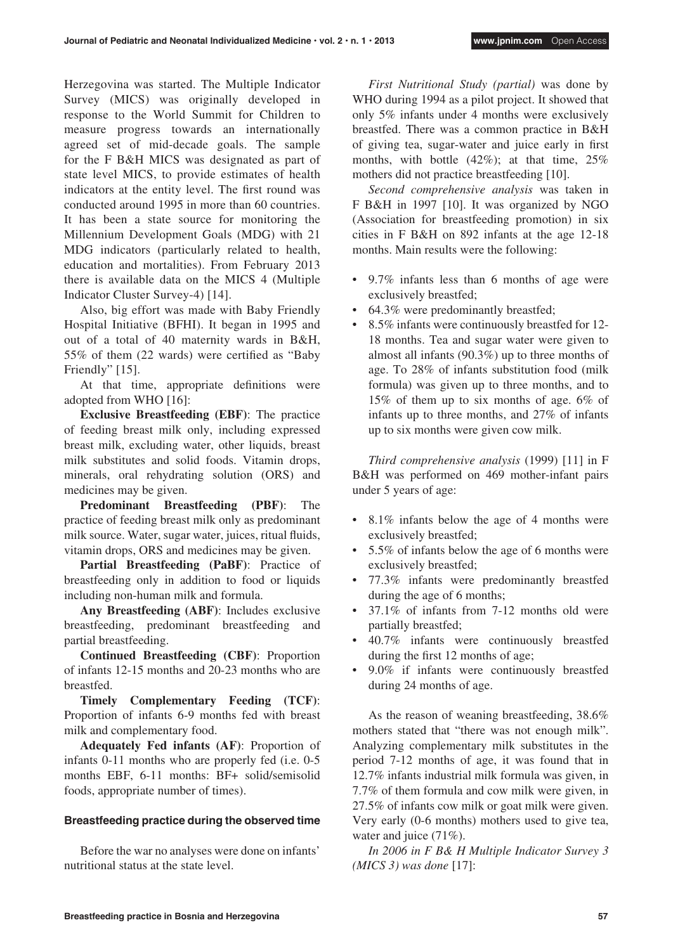Herzegovina was started. The Multiple Indicator Survey (MICS) was originally developed in response to the World Summit for Children to measure progress towards an internationally agreed set of mid-decade goals. The sample for the F B&H MICS was designated as part of state level MICS, to provide estimates of health indicators at the entity level. The first round was conducted around 1995 in more than 60 countries. It has been a state source for monitoring the Millennium Development Goals (MDG) with 21 MDG indicators (particularly related to health, education and mortalities). From February 2013 there is available data on the MICS 4 (Multiple Indicator Cluster Survey-4) [14].

Also, big effort was made with Baby Friendly Hospital Initiative (BFHI). It began in 1995 and out of a total of 40 maternity wards in B&H, 55% of them (22 wards) were certified as "Baby Friendly" [15].

At that time, appropriate definitions were adopted from WHO [16]:

**Exclusive Breastfeeding (EBF)**: The practice of feeding breast milk only, including expressed breast milk, excluding water, other liquids, breast milk substitutes and solid foods. Vitamin drops, minerals, oral rehydrating solution (ORS) and medicines may be given.

**Predominant Breastfeeding (PBF)**: The practice of feeding breast milk only as predominant milk source. Water, sugar water, juices, ritual fluids, vitamin drops, ORS and medicines may be given.

**Partial Breastfeeding (PaBF)**: Practice of breastfeeding only in addition to food or liquids including non-human milk and formula.

**Any Breastfeeding (ABF)**: Includes exclusive breastfeeding, predominant breastfeeding and partial breastfeeding.

**Continued Breastfeeding (CBF)**: Proportion of infants 12-15 months and 20-23 months who are breastfed.

**Timely Complementary Feeding (TCF)**: Proportion of infants 6-9 months fed with breast milk and complementary food.

**Adequately Fed infants (AF)**: Proportion of infants 0-11 months who are properly fed (i.e. 0-5 months EBF, 6-11 months: BF+ solid/semisolid foods, appropriate number of times).

# **Breastfeeding practice during the observed time**

Before the war no analyses were done on infants' nutritional status at the state level.

*First Nutritional Study (partial)* was done by WHO during 1994 as a pilot project. It showed that only 5% infants under 4 months were exclusively breastfed. There was a common practice in B&H of giving tea, sugar-water and juice early in first months, with bottle  $(42\%)$ ; at that time,  $25\%$ mothers did not practice breastfeeding [10].

*Second comprehensive analysis* was taken in F B&H in 1997 [10]. It was organized by NGO (Association for breastfeeding promotion) in six cities in F B&H on 892 infants at the age 12-18 months. Main results were the following:

- 9.7% infants less than 6 months of age were exclusively breastfed;
- 64.3% were predominantly breastfed;
- 8.5% infants were continuously breastfed for 12-18 months. Tea and sugar water were given to almost all infants (90.3%) up to three months of age. To 28% of infants substitution food (milk formula) was given up to three months, and to 15% of them up to six months of age. 6% of infants up to three months, and 27% of infants up to six months were given cow milk.

*Third comprehensive analysis* (1999) [11] in F B&H was performed on 469 mother-infant pairs under 5 years of age:

- 8.1% infants below the age of 4 months were exclusively breastfed;
- 5.5% of infants below the age of 6 months were exclusively breastfed;
- • 77.3% infants were predominantly breastfed during the age of 6 months;
- 37.1% of infants from 7-12 months old were partially breastfed;
- • 40.7% infants were continuously breastfed during the first 12 months of age;
- 9.0% if infants were continuously breastfed during 24 months of age.

As the reason of weaning breastfeeding, 38.6% mothers stated that "there was not enough milk". Analyzing complementary milk substitutes in the period 7-12 months of age, it was found that in 12.7% infants industrial milk formula was given, in 7.7% of them formula and cow milk were given, in 27.5% of infants cow milk or goat milk were given. Very early (0-6 months) mothers used to give tea, water and juice (71%).

*In 2006 in F B& H Multiple Indicator Survey 3 (MICS 3) was done* [17]: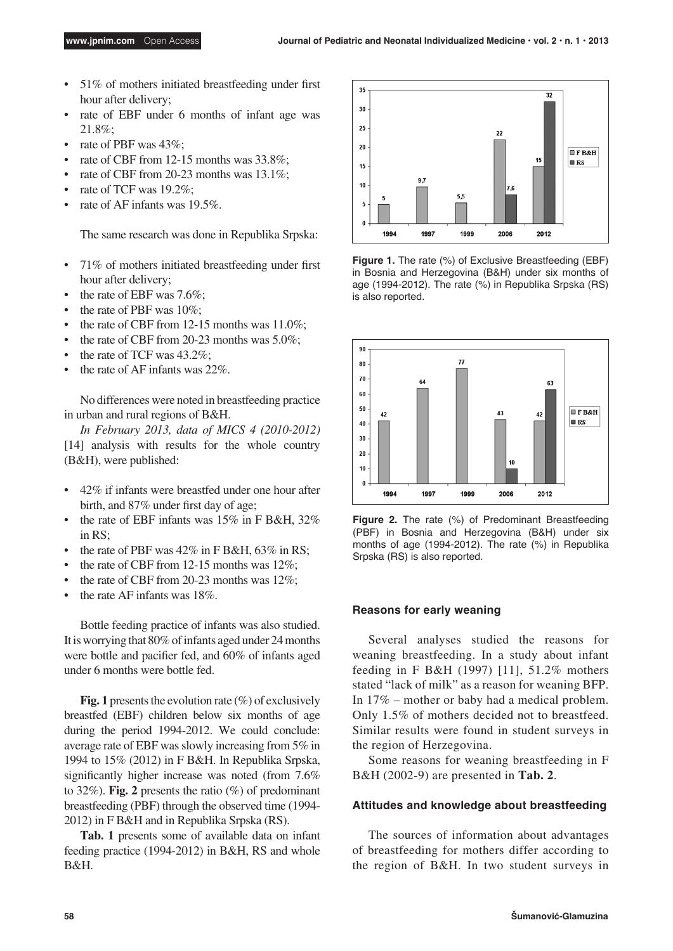- 51% of mothers initiated breastfeeding under first hour after delivery;
- • rate of EBF under 6 months of infant age was 21.8%;
- rate of PBF was 43%:
- rate of CBF from 12-15 months was  $33.8\%$ ;
- rate of CBF from 20-23 months was  $13.1\%$ ;
- rate of TCF was  $19.2\%$ ;
- rate of AF infants was  $19.5\%$ .

The same research was done in Republika Srpska:

- 71% of mothers initiated breastfeeding under first hour after delivery;
- the rate of EBF was  $7.6\%$ ;
- the rate of PBF was  $10\%$ ;
- the rate of CBF from 12-15 months was  $11.0\%$ ;
- the rate of CBF from 20-23 months was  $5.0\%$ ;
- the rate of TCF was  $43.2\%$ :
- the rate of AF infants was  $22\%$ .

No differences were noted in breastfeeding practice in urban and rural regions of B&H.

*In February 2013, data of MICS 4 (2010-2012)*  [14] analysis with results for the whole country (B&H), were published:

- 42% if infants were breastfed under one hour after birth, and 87% under first day of age;
- the rate of EBF infants was  $15\%$  in F B&H,  $32\%$ in RS;
- the rate of PBF was  $42\%$  in F B&H,  $63\%$  in RS;
- the rate of CBF from 12-15 months was  $12\%$ ;
- the rate of CBF from 20-23 months was  $12\%$ :
- the rate AF infants was  $18\%$ .

Bottle feeding practice of infants was also studied. It is worrying that 80% of infants aged under 24 months were bottle and pacifier fed, and 60% of infants aged under 6 months were bottle fed.

**Fig. 1** presents the evolution rate  $(\%)$  of exclusively breastfed (EBF) children below six months of age during the period 1994-2012. We could conclude: average rate of EBF was slowly increasing from 5% in 1994 to 15% (2012) in F B&H. In Republika Srpska, significantly higher increase was noted (from 7.6% to 32%). **Fig. 2** presents the ratio (%) of predominant breastfeeding (PBF) through the observed time (1994- 2012) in F B&H and in Republika Srpska (RS).

**Tab. 1** presents some of available data on infant feeding practice (1994-2012) in B&H, RS and whole B&H.



**Figure 1.** The rate (%) of Exclusive Breastfeeding (EBF) in Bosnia and Herzegovina (B&H) under six months of age (1994-2012). The rate (%) in Republika Srpska (RS) is also reported.



**Figure 2.** The rate (%) of Predominant Breastfeeding (PBF) in Bosnia and Herzegovina (B&H) under six months of age (1994-2012). The rate (%) in Republika Srpska (RS) is also reported.

## **Reasons for early weaning**

Several analyses studied the reasons for weaning breastfeeding. In a study about infant feeding in F B&H (1997) [11], 51.2% mothers stated "lack of milk" as a reason for weaning BFP. In 17% – mother or baby had a medical problem. Only 1.5% of mothers decided not to breastfeed. Similar results were found in student surveys in the region of Herzegovina.

Some reasons for weaning breastfeeding in F B&H (2002-9) are presented in **Tab. 2**.

## **Attitudes and knowledge about breastfeeding**

The sources of information about advantages of breastfeeding for mothers differ according to the region of B&H. In two student surveys in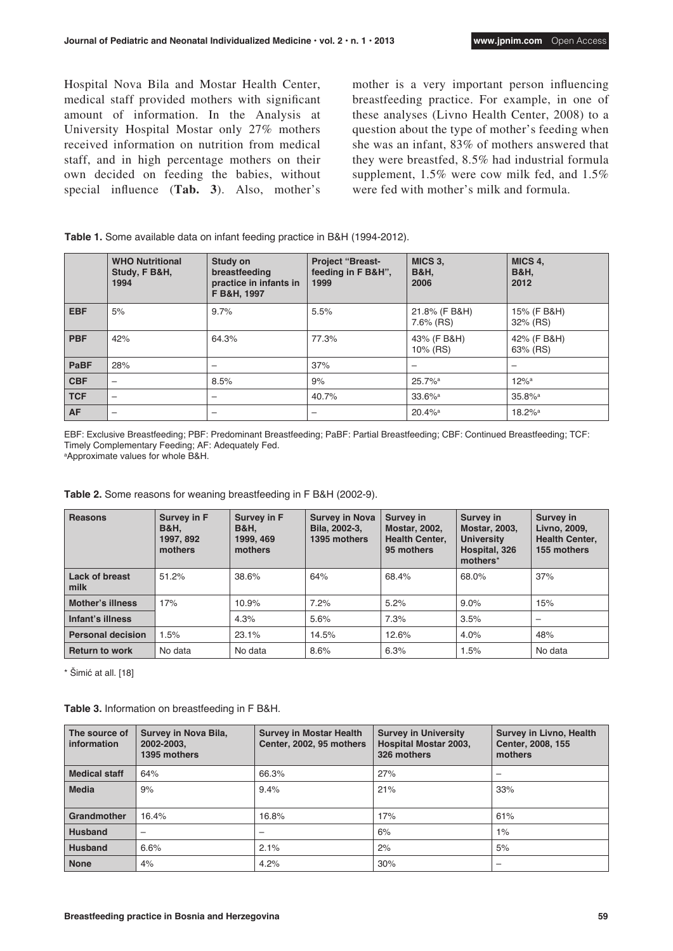Hospital Nova Bila and Mostar Health Center, medical staff provided mothers with significant amount of information. In the Analysis at University Hospital Mostar only 27% mothers received information on nutrition from medical staff, and in high percentage mothers on their own decided on feeding the babies, without special influence (**Tab. 3**). Also, mother's mother is a very important person influencing breastfeeding practice. For example, in one of these analyses (Livno Health Center, 2008) to a question about the type of mother's feeding when she was an infant, 83% of mothers answered that they were breastfed, 8.5% had industrial formula supplement, 1.5% were cow milk fed, and 1.5% were fed with mother's milk and formula.

| Table 1. Some available data on infant feeding practice in B&H (1994-2012). |  |
|-----------------------------------------------------------------------------|--|
|-----------------------------------------------------------------------------|--|

|            | <b>WHO Nutritional</b><br>Study, F B&H,<br>1994 | Study on<br>breastfeeding<br>practice in infants in<br>F B&H, 1997 | <b>Project "Breast-</b><br>feeding in F B&H",<br>1999 | MICS 3,<br><b>B&amp;H,</b><br>2006 | MICS 4,<br><b>B&amp;H,</b><br>2012 |
|------------|-------------------------------------------------|--------------------------------------------------------------------|-------------------------------------------------------|------------------------------------|------------------------------------|
| <b>EBF</b> | 5%                                              | 9.7%                                                               | 5.5%                                                  | 21.8% (F B&H)<br>7.6% (RS)         | 15% (F B&H)<br>32% (RS)            |
| <b>PBF</b> | 42%                                             | 64.3%                                                              | 77.3%                                                 | 43% (F B&H)<br>10% (RS)            | 42% (F B&H)<br>63% (RS)            |
| PaBF       | 28%                                             | $\overline{\phantom{0}}$                                           | 37%                                                   | -                                  |                                    |
| <b>CBF</b> | $\overline{\phantom{0}}$                        | 8.5%                                                               | 9%                                                    | $25.7\%$ <sup>a</sup>              | $12%$ <sup>a</sup>                 |
| <b>TCF</b> | $\overline{\phantom{m}}$                        | $\overline{\phantom{0}}$                                           | 40.7%                                                 | $33.6\%$ <sup>a</sup>              | $35.8%$ <sup>a</sup>               |
| <b>AF</b>  | $\overline{\phantom{0}}$                        | $\overline{\phantom{0}}$                                           | $\overline{\phantom{0}}$                              | $20.4\%$ <sup>a</sup>              | 18.2% <sup>a</sup>                 |

EBF: Exclusive Breastfeeding; PBF: Predominant Breastfeeding; PaBF: Partial Breastfeeding; CBF: Continued Breastfeeding; TCF: Timely Complementary Feeding; AF: Adequately Fed.

a Approximate values for whole B&H.

| <b>Table 2.</b> Some reasons for weaning breastfeeding in F B&H (2002-9). |  |  |
|---------------------------------------------------------------------------|--|--|
|---------------------------------------------------------------------------|--|--|

| <b>Reasons</b>           | <b>Survey in F</b><br><b>B&amp;H.</b><br>1997, 892<br>mothers | Survey in F<br><b>B&amp;H,</b><br>1999, 469<br>mothers | <b>Survey in Nova</b><br>Bila, 2002-3,<br>1395 mothers | Survey in<br><b>Mostar, 2002,</b><br><b>Health Center,</b><br>95 mothers | Survey in<br><b>Mostar, 2003,</b><br><b>University</b><br>Hospital, 326<br>mothers <sup>*</sup> | <b>Survey in</b><br>Livno, 2009,<br><b>Health Center,</b><br>155 mothers |
|--------------------------|---------------------------------------------------------------|--------------------------------------------------------|--------------------------------------------------------|--------------------------------------------------------------------------|-------------------------------------------------------------------------------------------------|--------------------------------------------------------------------------|
| Lack of breast<br>milk   | 51.2%                                                         | 38.6%                                                  | 64%                                                    | 68.4%                                                                    | 68.0%                                                                                           | 37%                                                                      |
| <b>Mother's illness</b>  | 17%                                                           | 10.9%                                                  | 7.2%                                                   | 5.2%                                                                     | 9.0%                                                                                            | 15%                                                                      |
| Infant's illness         |                                                               | 4.3%                                                   | 5.6%                                                   | 7.3%                                                                     | 3.5%                                                                                            |                                                                          |
| <b>Personal decision</b> | 1.5%                                                          | 23.1%                                                  | 14.5%                                                  | 12.6%                                                                    | 4.0%                                                                                            | 48%                                                                      |
| <b>Return to work</b>    | No data                                                       | No data                                                | 8.6%                                                   | 6.3%                                                                     | 1.5%                                                                                            | No data                                                                  |

\* Šimić at all. [18]

**Table 3.** Information on breastfeeding in F B&H.

| The source of<br>information | <b>Survey in Nova Bila,</b><br>2002-2003,<br>1395 mothers | <b>Survey in Mostar Health</b><br>Center, 2002, 95 mothers | <b>Survey in University</b><br><b>Hospital Mostar 2003,</b><br>326 mothers | <b>Survey in Livno, Health</b><br>Center, 2008, 155<br>mothers |
|------------------------------|-----------------------------------------------------------|------------------------------------------------------------|----------------------------------------------------------------------------|----------------------------------------------------------------|
| <b>Medical staff</b>         | 64%                                                       | 66.3%                                                      | 27%                                                                        |                                                                |
| <b>Media</b>                 | 9%                                                        | 9.4%                                                       | 21%                                                                        | 33%                                                            |
| Grandmother                  | 16.4%                                                     | 16.8%                                                      | 17%                                                                        | 61%                                                            |
| <b>Husband</b>               | -                                                         |                                                            | 6%                                                                         | 1%                                                             |
| <b>Husband</b>               | 6.6%                                                      | 2.1%                                                       | 2%                                                                         | 5%                                                             |
| <b>None</b>                  | 4%                                                        | 4.2%                                                       | 30%                                                                        |                                                                |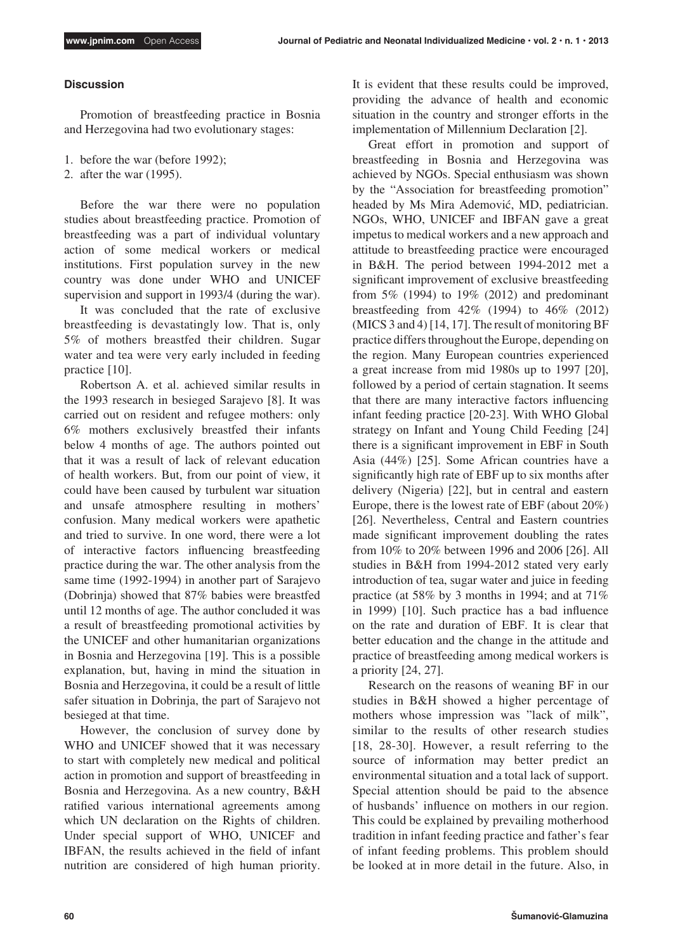## **Discussion**

Promotion of breastfeeding practice in Bosnia and Herzegovina had two evolutionary stages:

- 1. before the war (before 1992);
- 2. after the war (1995).

Before the war there were no population studies about breastfeeding practice. Promotion of breastfeeding was a part of individual voluntary action of some medical workers or medical institutions. First population survey in the new country was done under WHO and UNICEF supervision and support in 1993/4 (during the war).

It was concluded that the rate of exclusive breastfeeding is devastatingly low. That is, only 5% of mothers breastfed their children. Sugar water and tea were very early included in feeding practice [10].

Robertson A. et al. achieved similar results in the 1993 research in besieged Sarajevo [8]. It was carried out on resident and refugee mothers: only 6% mothers exclusively breastfed their infants below 4 months of age. The authors pointed out that it was a result of lack of relevant education of health workers. But, from our point of view, it could have been caused by turbulent war situation and unsafe atmosphere resulting in mothers' confusion. Many medical workers were apathetic and tried to survive. In one word, there were a lot of interactive factors influencing breastfeeding practice during the war. The other analysis from the same time (1992-1994) in another part of Sarajevo (Dobrinja) showed that 87% babies were breastfed until 12 months of age. The author concluded it was a result of breastfeeding promotional activities by the UNICEF and other humanitarian organizations in Bosnia and Herzegovina [19]. This is a possible explanation, but, having in mind the situation in Bosnia and Herzegovina, it could be a result of little safer situation in Dobrinja, the part of Sarajevo not besieged at that time.

However, the conclusion of survey done by WHO and UNICEF showed that it was necessary to start with completely new medical and political action in promotion and support of breastfeeding in Bosnia and Herzegovina. As a new country, B&H ratified various international agreements among which UN declaration on the Rights of children. Under special support of WHO, UNICEF and IBFAN, the results achieved in the field of infant nutrition are considered of high human priority.

It is evident that these results could be improved, providing the advance of health and economic situation in the country and stronger efforts in the implementation of Millennium Declaration [2].

Great effort in promotion and support of breastfeeding in Bosnia and Herzegovina was achieved by NGOs. Special enthusiasm was shown by the "Association for breastfeeding promotion" headed by Ms Mira Ademović, MD, pediatrician. NGOs, WHO, UNICEF and IBFAN gave a great impetus to medical workers and a new approach and attitude to breastfeeding practice were encouraged in B&H. The period between 1994-2012 met a significant improvement of exclusive breastfeeding from 5% (1994) to 19% (2012) and predominant breastfeeding from 42% (1994) to 46% (2012) (MICS 3 and 4) [14, 17]. The result of monitoring BF practice differs throughout the Europe, depending on the region. Many European countries experienced a great increase from mid 1980s up to 1997 [20], followed by a period of certain stagnation. It seems that there are many interactive factors influencing infant feeding practice [20-23]. With WHO Global strategy on Infant and Young Child Feeding [24] there is a significant improvement in EBF in South Asia (44%) [25]. Some African countries have a significantly high rate of EBF up to six months after delivery (Nigeria) [22], but in central and eastern Europe, there is the lowest rate of EBF (about 20%) [26]. Nevertheless, Central and Eastern countries made significant improvement doubling the rates from 10% to 20% between 1996 and 2006 [26]. All studies in B&H from 1994-2012 stated very early introduction of tea, sugar water and juice in feeding practice (at 58% by 3 months in 1994; and at 71% in 1999) [10]. Such practice has a bad influence on the rate and duration of EBF. It is clear that better education and the change in the attitude and practice of breastfeeding among medical workers is a priority [24, 27].

Research on the reasons of weaning BF in our studies in B&H showed a higher percentage of mothers whose impression was "lack of milk", similar to the results of other research studies [18, 28-30]. However, a result referring to the source of information may better predict an environmental situation and a total lack of support. Special attention should be paid to the absence of husbands' influence on mothers in our region. This could be explained by prevailing motherhood tradition in infant feeding practice and father's fear of infant feeding problems. This problem should be looked at in more detail in the future. Also, in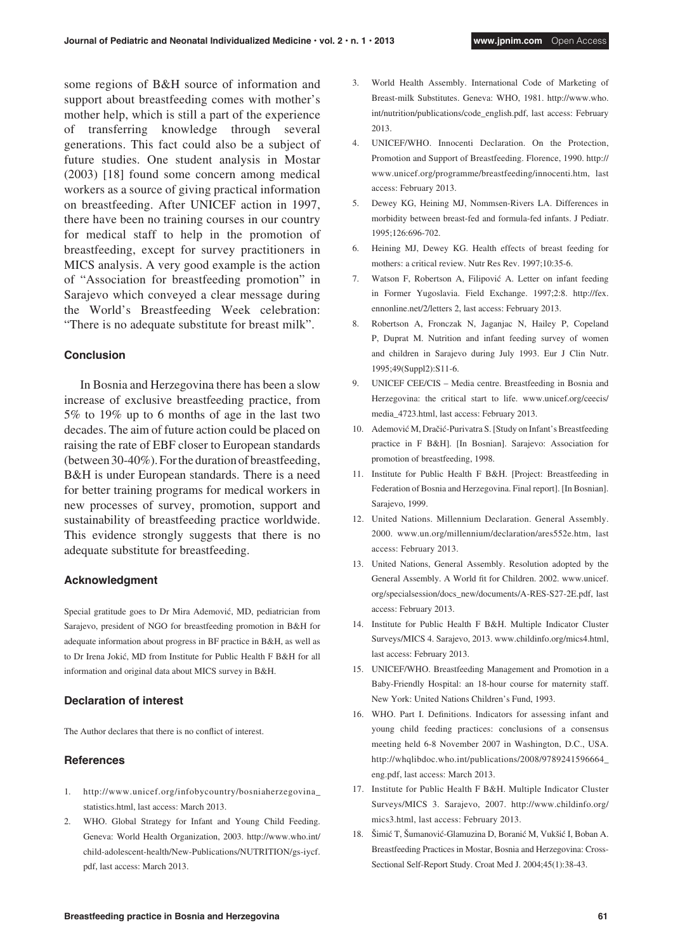some regions of B&H source of information and support about breastfeeding comes with mother's mother help, which is still a part of the experience of transferring knowledge through several generations. This fact could also be a subject of future studies. One student analysis in Mostar (2003) [18] found some concern among medical workers as a source of giving practical information on breastfeeding. After UNICEF action in 1997, there have been no training courses in our country for medical staff to help in the promotion of breastfeeding, except for survey practitioners in MICS analysis. A very good example is the action of "Association for breastfeeding promotion" in Sarajevo which conveyed a clear message during the World's Breastfeeding Week celebration: "There is no adequate substitute for breast milk".

## **Conclusion**

In Bosnia and Herzegovina there has been a slow increase of exclusive breastfeeding practice, from 5% to 19% up to 6 months of age in the last two decades. The aim of future action could be placed on raising the rate of EBF closer to European standards (between 30-40%). For the duration of breastfeeding, B&H is under European standards. There is a need for better training programs for medical workers in new processes of survey, promotion, support and sustainability of breastfeeding practice worldwide. This evidence strongly suggests that there is no adequate substitute for breastfeeding.

#### **Acknowledgment**

Special gratitude goes to Dr Mira Ademović, MD, pediatrician from Sarajevo, president of NGO for breastfeeding promotion in B&H for adequate information about progress in BF practice in B&H, as well as to Dr Irena Jokić, MD from Institute for Public Health F B&H for all information and original data about MICS survey in B&H.

## **Declaration of interest**

The Author declares that there is no conflict of interest.

## **References**

- 1. http://www.unicef.org/infobycountry/bosniaherzegovina\_ statistics.html, last access: March 2013.
- 2. WHO. Global Strategy for Infant and Young Child Feeding. Geneva: World Health Organization, 2003. http://www.who.int/ child-adolescent-health/New-Publications/NUTRITION/gs-iycf. pdf, last access: March 2013.
- 3. World Health Assembly. International Code of Marketing of Breast-milk Substitutes. Geneva: WHO, 1981. http://www.who. int/nutrition/publications/code\_english.pdf, last access: February 2013.
- 4. UNICEF/WHO. Innocenti Declaration. On the Protection, Promotion and Support of Breastfeeding. Florence, 1990. http:// www.unicef.org/programme/breastfeeding/innocenti.htm, last access: February 2013.
- 5. Dewey KG, Heining MJ, Nommsen-Rivers LA. Differences in morbidity between breast-fed and formula-fed infants. J Pediatr. 1995;126:696-702.
- 6. Heining MJ, Dewey KG. Health effects of breast feeding for mothers: a critical review. Nutr Res Rev. 1997;10:35-6.
- 7. Watson F, Robertson A, Filipović A. Letter on infant feeding in Former Yugoslavia. Field Exchange. 1997;2:8. http://fex. ennonline.net/2/letters 2, last access: February 2013.
- 8. Robertson A, Fronczak N, Jaganjac N, Hailey P, Copeland P, Duprat M. Nutrition and infant feeding survey of women and children in Sarajevo during July 1993. Eur J Clin Nutr. 1995;49(Suppl2):S11-6.
- 9. UNICEF CEE/CIS Media centre. Breastfeeding in Bosnia and Herzegovina: the critical start to life. www.unicef.org/ceecis/ media\_4723.html, last access: February 2013.
- 10. Ademović M, Dračić-Purivatra S. [Study on Infant's Breastfeeding practice in F B&H]. [In Bosnian]. Sarajevo: Association for promotion of breastfeeding, 1998.
- 11. Institute for Public Health F B&H. [Project: Breastfeeding in Federation of Bosnia and Herzegovina. Final report]. [In Bosnian]. Sarajevo, 1999.
- 12. United Nations. Millennium Declaration. General Assembly. 2000. www.un.org/millennium/declaration/ares552e.htm, last access: February 2013.
- 13. United Nations, General Assembly. Resolution adopted by the General Assembly. A World fit for Children. 2002. www.unicef. org/specialsession/docs\_new/documents/A-RES-S27-2E.pdf, last access: February 2013.
- 14. Institute for Public Health F B&H. Multiple Indicator Cluster Surveys/MICS 4. Sarajevo, 2013. www.childinfo.org/mics4.html, last access: February 2013.
- 15. UNICEF/WHO. Breastfeeding Management and Promotion in a Baby-Friendly Hospital: an 18-hour course for maternity staff. New York: United Nations Children's Fund, 1993.
- 16. WHO. Part I. Definitions. Indicators for assessing infant and young child feeding practices: conclusions of a consensus meeting held 6-8 November 2007 in Washington, D.C., USA. http://whqlibdoc.who.int/publications/2008/9789241596664\_ eng.pdf, last access: March 2013.
- 17. Institute for Public Health F B&H. Multiple Indicator Cluster Surveys/MICS 3. Sarajevo, 2007. http://www.childinfo.org/ mics3.html, last access: February 2013.
- 18. Šimić T, Šumanović-Glamuzina D, Boranić M, Vukšić I, Boban A. Breastfeeding Practices in Mostar, Bosnia and Herzegovina: Cross-Sectional Self-Report Study. Croat Med J. 2004;45(1):38-43.